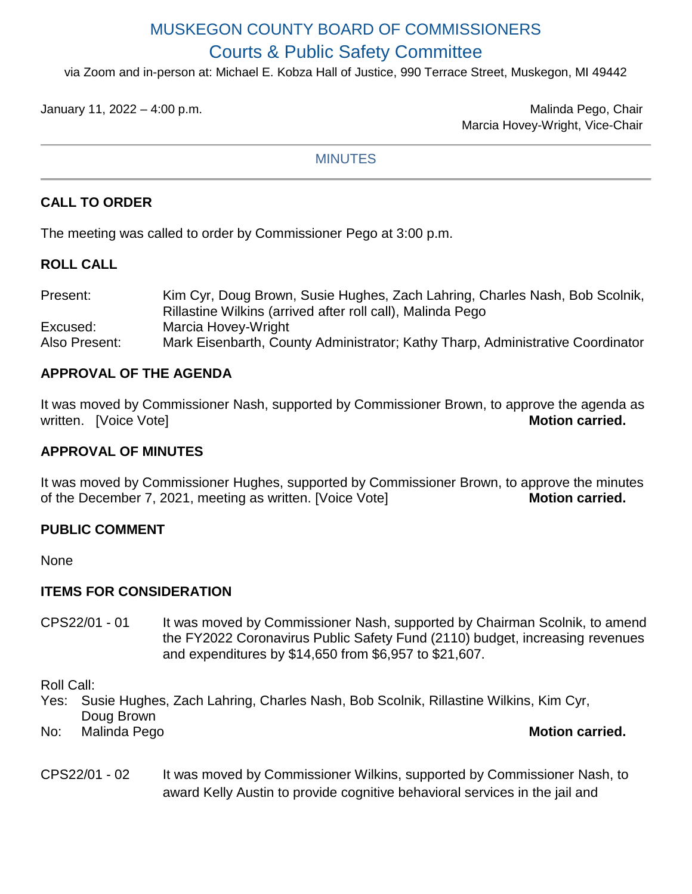# MUSKEGON COUNTY BOARD OF COMMISSIONERS Courts & Public Safety Committee

via Zoom and in-person at: Michael E. Kobza Hall of Justice, 990 Terrace Street, Muskegon, MI 49442

January 11, 2022 – 4:00 p.m. Malinda Pego, Chair Marcia Hovey-Wright, Vice-Chair

#### **MINUTES**

# **CALL TO ORDER**

The meeting was called to order by Commissioner Pego at 3:00 p.m.

## **ROLL CALL**

| Present:      | Kim Cyr, Doug Brown, Susie Hughes, Zach Lahring, Charles Nash, Bob Scolnik,    |
|---------------|--------------------------------------------------------------------------------|
|               | Rillastine Wilkins (arrived after roll call), Malinda Pego                     |
| Excused:      | Marcia Hovey-Wright                                                            |
| Also Present: | Mark Eisenbarth, County Administrator; Kathy Tharp, Administrative Coordinator |

## **APPROVAL OF THE AGENDA**

It was moved by Commissioner Nash, supported by Commissioner Brown, to approve the agenda as written. [Voice Vote] **Motion carried. Motion carried.** 

#### **APPROVAL OF MINUTES**

It was moved by Commissioner Hughes, supported by Commissioner Brown, to approve the minutes of the December 7, 2021, meeting as written. [Voice Vote] **Motion carried.** 

#### **PUBLIC COMMENT**

None

## **ITEMS FOR CONSIDERATION**

CPS22/01 - 01 It was moved by Commissioner Nash, supported by Chairman Scolnik, to amend the FY2022 Coronavirus Public Safety Fund (2110) budget, increasing revenues and expenditures by \$14,650 from \$6,957 to \$21,607.

Roll Call:

Yes: Susie Hughes, Zach Lahring, Charles Nash, Bob Scolnik, Rillastine Wilkins, Kim Cyr, Doug Brown

No: Malinda Pego **Motion carried.** 

CPS22/01 - 02 It was moved by Commissioner Wilkins, supported by Commissioner Nash, to award Kelly Austin to provide cognitive behavioral services in the jail and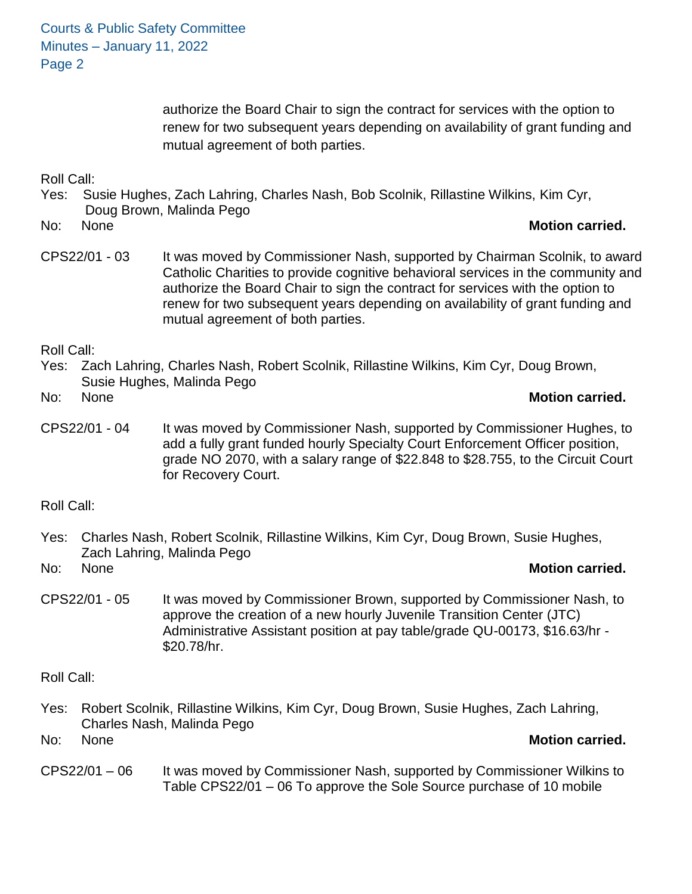Courts & Public Safety Committee Minutes – January 11, 2022 Page 2

> authorize the Board Chair to sign the contract for services with the option to renew for two subsequent years depending on availability of grant funding and mutual agreement of both parties.

Roll Call:

Yes: Susie Hughes, Zach Lahring, Charles Nash, Bob Scolnik, Rillastine Wilkins, Kim Cyr, Doug Brown, Malinda Pego

#### No: None **Motion carried.**

CPS22/01 - 03 It was moved by Commissioner Nash, supported by Chairman Scolnik, to award Catholic Charities to provide cognitive behavioral services in the community and authorize the Board Chair to sign the contract for services with the option to renew for two subsequent years depending on availability of grant funding and mutual agreement of both parties.

Roll Call:

Yes: Zach Lahring, Charles Nash, Robert Scolnik, Rillastine Wilkins, Kim Cyr, Doug Brown, Susie Hughes, Malinda Pego

#### No: None **Motion carried.**

CPS22/01 - 04 It was moved by Commissioner Nash, supported by Commissioner Hughes, to add a fully grant funded hourly Specialty Court Enforcement Officer position, grade NO 2070, with a salary range of \$22.848 to \$28.755, to the Circuit Court for Recovery Court.

Roll Call:

Yes: Charles Nash, Robert Scolnik, Rillastine Wilkins, Kim Cyr, Doug Brown, Susie Hughes, Zach Lahring, Malinda Pego

No: None **Motion carried.**

CPS22/01 - 05 It was moved by Commissioner Brown, supported by Commissioner Nash, to approve the creation of a new hourly Juvenile Transition Center (JTC) Administrative Assistant position at pay table/grade QU-00173, \$16.63/hr - \$20.78/hr.

Roll Call:

Yes: Robert Scolnik, Rillastine Wilkins, Kim Cyr, Doug Brown, Susie Hughes, Zach Lahring, Charles Nash, Malinda Pego

No: None **Motion carried.**

CPS22/01 – 06 It was moved by Commissioner Nash, supported by Commissioner Wilkins to Table CPS22/01 – 06 To approve the Sole Source purchase of 10 mobile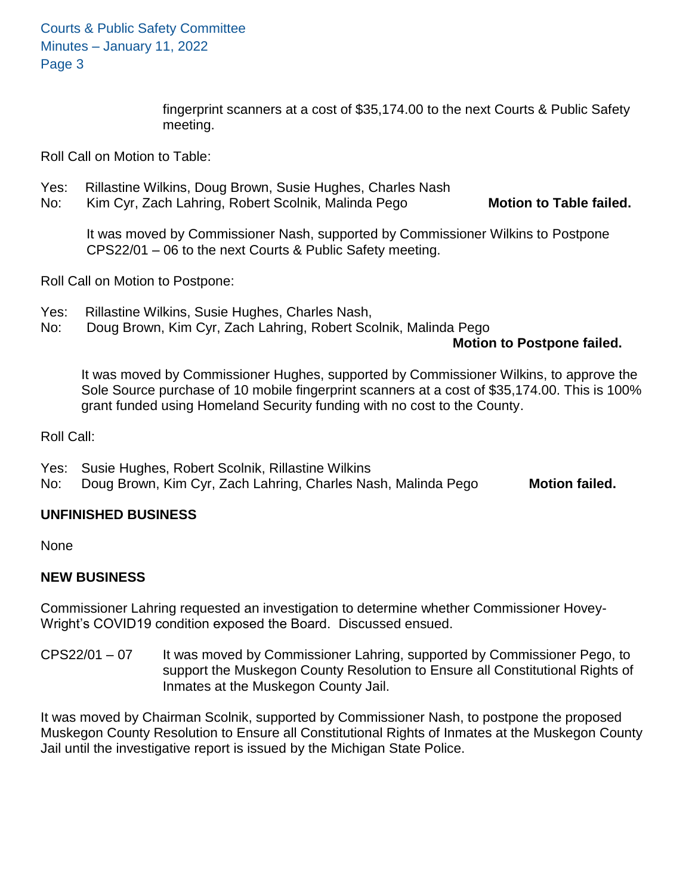Courts & Public Safety Committee Minutes – January 11, 2022 Page 3

> fingerprint scanners at a cost of \$35,174.00 to the next Courts & Public Safety meeting.

Roll Call on Motion to Table:

- Yes: Rillastine Wilkins, Doug Brown, Susie Hughes, Charles Nash
- No: Kim Cyr, Zach Lahring, Robert Scolnik, Malinda Pego **Motion to Table failed.**

It was moved by Commissioner Nash, supported by Commissioner Wilkins to Postpone CPS22/01 – 06 to the next Courts & Public Safety meeting.

Roll Call on Motion to Postpone:

- Yes: Rillastine Wilkins, Susie Hughes, Charles Nash,
- No: Doug Brown, Kim Cyr, Zach Lahring, Robert Scolnik, Malinda Pego

#### **Motion to Postpone failed.**

It was moved by Commissioner Hughes, supported by Commissioner Wilkins, to approve the Sole Source purchase of 10 mobile fingerprint scanners at a cost of \$35,174.00. This is 100% grant funded using Homeland Security funding with no cost to the County.

Roll Call:

- Yes: Susie Hughes, Robert Scolnik, Rillastine Wilkins
- No: Doug Brown, Kim Cyr, Zach Lahring, Charles Nash, Malinda Pego **Motion failed.**

# **UNFINISHED BUSINESS**

None

## **NEW BUSINESS**

Commissioner Lahring requested an investigation to determine whether Commissioner Hovey-Wright's COVID19 condition exposed the Board. Discussed ensued.

CPS22/01 – 07 It was moved by Commissioner Lahring, supported by Commissioner Pego, to support the Muskegon County Resolution to Ensure all Constitutional Rights of Inmates at the Muskegon County Jail.

It was moved by Chairman Scolnik, supported by Commissioner Nash, to postpone the proposed Muskegon County Resolution to Ensure all Constitutional Rights of Inmates at the Muskegon County Jail until the investigative report is issued by the Michigan State Police.